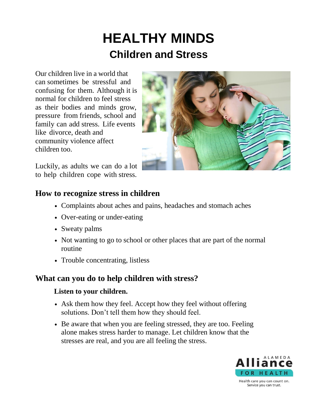# **HEALTHY MINDS Children and Stress**

Our children live in a world that can sometimes be stressful and confusing for them. Although it is normal for children to feel stress as their bodies and minds grow, pressure from friends, school and family can add stress. Life events like divorce, death and community violence affect children too.



Luckily, as adults we can do a lot to help children cope with stress.

# **How to recognize stress in children**

- Complaints about aches and pains, headaches and stomach aches
- Over-eating or under-eating
- Sweaty palms
- Not wanting to go to school or other places that are part of the normal routine
- Trouble concentrating, listless

## **What can you do to help children with stress?**

## **Listen to your children.**

- Ask them how they feel. Accept how they feel without offering solutions. Don't tell them how they should feel.
- Be aware that when you are feeling stressed, they are too. Feeling alone makes stress harder to manage. Let children know that the stresses are real, and you are all feeling the stress.